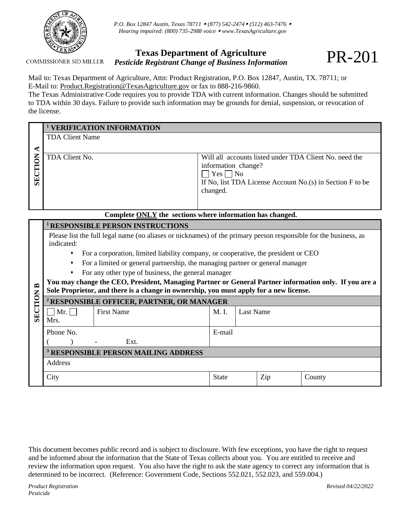

*P.O. Box 12847 Austin, Texas 78711 (877) 542-2474 (512) 463-7476 Hearing impaired: (800) 735-2988 voice [www.TexasAgriculture.gov](http://www.agr.state.tx.us/)*

## **COMMISSIONER SID MILLER**

## **Texas Department of Agriculture** *Pesticide Registrant Change of Business Information*

Mail to: Texas Department of Agriculture, Attn: Product Registration, P.O. Box 12847, Austin, TX. 78711; or E-Mail to: Product.Registration@TexasAgriculture.gov or fax to 888-216-9860.

The Texas Administrative Code requires you to provide TDA with current information. Changes should be submitted to TDA within 30 days. Failure to provide such information may be grounds for denial, suspension, or revocation of the license.

|                      | <b>VERIFICATION INFORMATION</b>                                                                                                                                                                 |          |                                         |                  |                                                                                                                        |  |  |  |  |  |
|----------------------|-------------------------------------------------------------------------------------------------------------------------------------------------------------------------------------------------|----------|-----------------------------------------|------------------|------------------------------------------------------------------------------------------------------------------------|--|--|--|--|--|
|                      | <b>TDA Client Name</b>                                                                                                                                                                          |          |                                         |                  |                                                                                                                        |  |  |  |  |  |
| $\blacktriangleleft$ |                                                                                                                                                                                                 |          |                                         |                  |                                                                                                                        |  |  |  |  |  |
| SECTION              | TDA Client No.                                                                                                                                                                                  | changed. | information change?<br>$Yes \square No$ |                  | Will all accounts listed under TDA Client No. need the<br>If No, list TDA License Account No. $(s)$ in Section F to be |  |  |  |  |  |
|                      | Complete ONLY the sections where information has changed.                                                                                                                                       |          |                                         |                  |                                                                                                                        |  |  |  |  |  |
|                      | <sup>1</sup> RESPONSIBLE PERSON INSTRUCTIONS                                                                                                                                                    |          |                                         |                  |                                                                                                                        |  |  |  |  |  |
|                      | Please list the full legal name (no aliases or nicknames) of the primary person responsible for the business, as<br>indicated:                                                                  |          |                                         |                  |                                                                                                                        |  |  |  |  |  |
|                      | For a corporation, limited liability company, or cooperative, the president or CEO<br>٠                                                                                                         |          |                                         |                  |                                                                                                                        |  |  |  |  |  |
|                      | For a limited or general partnership, the managing partner or general manager<br>٠                                                                                                              |          |                                         |                  |                                                                                                                        |  |  |  |  |  |
|                      | For any other type of business, the general manager                                                                                                                                             |          |                                         |                  |                                                                                                                        |  |  |  |  |  |
| $\mathbf{r}$         | You may change the CEO, President, Managing Partner or General Partner information only. If you are a<br>Sole Proprietor, and there is a change in ownership, you must apply for a new license. |          |                                         |                  |                                                                                                                        |  |  |  |  |  |
|                      | <sup>2</sup> RESPONSIBLE OFFICER, PARTNER, OR MANAGER                                                                                                                                           |          |                                         |                  |                                                                                                                        |  |  |  |  |  |
| <b>SECTION</b>       | <b>First Name</b><br>$\Box$ Mr. $\Box$<br>Mrs.                                                                                                                                                  | M. I.    |                                         | <b>Last Name</b> |                                                                                                                        |  |  |  |  |  |
|                      | Phone No.                                                                                                                                                                                       |          | E-mail                                  |                  |                                                                                                                        |  |  |  |  |  |
|                      | Ext.                                                                                                                                                                                            |          |                                         |                  |                                                                                                                        |  |  |  |  |  |
|                      | <sup>3</sup> RESPONSIBLE PERSON MAILING ADDRESS                                                                                                                                                 |          |                                         |                  |                                                                                                                        |  |  |  |  |  |
|                      | Address                                                                                                                                                                                         |          |                                         |                  |                                                                                                                        |  |  |  |  |  |
|                      | City                                                                                                                                                                                            |          | State                                   | Zip              | County                                                                                                                 |  |  |  |  |  |

This document becomes public record and is subject to disclosure. With few exceptions, you have the right to request and be informed about the information that the State of Texas collects about you. You are entitled to receive and review the information upon request. You also have the right to ask the state agency to correct any information that is determined to be incorrect. (Reference: Government Code, Sections 552.021, 552.023, and 559.004.)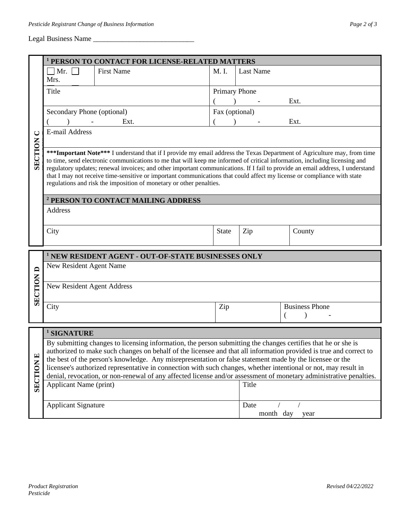## Legal Business Name \_\_\_\_\_\_\_\_\_\_\_\_\_\_\_\_\_\_\_\_\_\_\_\_\_\_\_\_

|                                                                                                                                                                                                                                                                                                                                                                                                                                                                                                                                                                                                                             | <sup>1</sup> PERSON TO CONTACT FOR LICENSE-RELATED MATTERS         |                  |                                                                                              |  |  |
|-----------------------------------------------------------------------------------------------------------------------------------------------------------------------------------------------------------------------------------------------------------------------------------------------------------------------------------------------------------------------------------------------------------------------------------------------------------------------------------------------------------------------------------------------------------------------------------------------------------------------------|--------------------------------------------------------------------|------------------|----------------------------------------------------------------------------------------------|--|--|
| $\Box$ Mr. $\Box$<br><b>First Name</b><br>Mrs.                                                                                                                                                                                                                                                                                                                                                                                                                                                                                                                                                                              | M. I.                                                              | <b>Last Name</b> |                                                                                              |  |  |
| Title                                                                                                                                                                                                                                                                                                                                                                                                                                                                                                                                                                                                                       |                                                                    |                  | Ext.                                                                                         |  |  |
| Secondary Phone (optional)                                                                                                                                                                                                                                                                                                                                                                                                                                                                                                                                                                                                  |                                                                    | Fax (optional)   |                                                                                              |  |  |
| Ext.                                                                                                                                                                                                                                                                                                                                                                                                                                                                                                                                                                                                                        |                                                                    |                  | Ext.                                                                                         |  |  |
| E-mail Address                                                                                                                                                                                                                                                                                                                                                                                                                                                                                                                                                                                                              |                                                                    |                  |                                                                                              |  |  |
| *** Important Note*** I understand that if I provide my email address the Texas Department of Agriculture may, from time<br>to time, send electronic communications to me that will keep me informed of critical information, including licensing and<br>regulatory updates; renewal invoices; and other important communications. If I fail to provide an email address, I understand<br>that I may not receive time-sensitive or important communications that could affect my license or compliance with state<br>regulations and risk the imposition of monetary or other penalties.                                    |                                                                    |                  |                                                                                              |  |  |
| <sup>2</sup> PERSON TO CONTACT MAILING ADDRESS                                                                                                                                                                                                                                                                                                                                                                                                                                                                                                                                                                              |                                                                    |                  |                                                                                              |  |  |
| Address                                                                                                                                                                                                                                                                                                                                                                                                                                                                                                                                                                                                                     |                                                                    |                  |                                                                                              |  |  |
| City                                                                                                                                                                                                                                                                                                                                                                                                                                                                                                                                                                                                                        | <b>State</b>                                                       | Zip              | County                                                                                       |  |  |
|                                                                                                                                                                                                                                                                                                                                                                                                                                                                                                                                                                                                                             |                                                                    |                  |                                                                                              |  |  |
| New Resident Agent Name                                                                                                                                                                                                                                                                                                                                                                                                                                                                                                                                                                                                     |                                                                    |                  |                                                                                              |  |  |
| New Resident Agent Address                                                                                                                                                                                                                                                                                                                                                                                                                                                                                                                                                                                                  |                                                                    |                  |                                                                                              |  |  |
| City                                                                                                                                                                                                                                                                                                                                                                                                                                                                                                                                                                                                                        | Zip                                                                | (                | <b>Business Phone</b>                                                                        |  |  |
|                                                                                                                                                                                                                                                                                                                                                                                                                                                                                                                                                                                                                             |                                                                    |                  |                                                                                              |  |  |
| By submitting changes to licensing information, the person submitting the changes certifies that he or she is<br>authorized to make such changes on behalf of the licensee and that all information provided is true and correct to<br>the best of the person's knowledge. Any misrepresentation or false statement made by the licensee or the<br>licensee's authorized representative in connection with such changes, whether intentional or not, may result in<br>denial, revocation, or non-renewal of any affected license and/or assessment of monetary administrative penalties.<br>Applicant Name (print)<br>Title |                                                                    |                  |                                                                                              |  |  |
| <b>Applicant Signature</b>                                                                                                                                                                                                                                                                                                                                                                                                                                                                                                                                                                                                  |                                                                    | Date             |                                                                                              |  |  |
|                                                                                                                                                                                                                                                                                                                                                                                                                                                                                                                                                                                                                             |                                                                    |                  | year<br>Revised 04/22/2022                                                                   |  |  |
|                                                                                                                                                                                                                                                                                                                                                                                                                                                                                                                                                                                                                             | <sup>1</sup> SIGNATURE<br><b>Product Registration</b><br>Pesticide |                  | Primary Phone<br><sup>1</sup> NEW RESIDENT AGENT - OUT-OF-STATE BUSINESSES ONLY<br>month day |  |  |